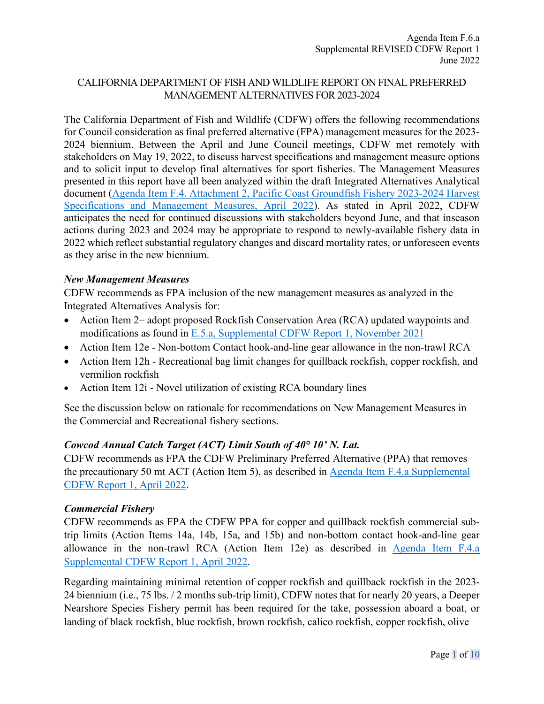# CALIFORNIA DEPARTMENT OF FISH AND WILDLIFE REPORT ON FINAL PREFERRED MANAGEMENT ALTERNATIVES FOR 2023-2024

The California Department of Fish and Wildlife (CDFW) offers the following recommendations for Council consideration as final preferred alternative (FPA) management measures for the 2023- 2024 biennium. Between the April and June Council meetings, CDFW met remotely with stakeholders on May 19, 2022, to discuss harvest specifications and management measure options and to solicit input to develop final alternatives for sport fisheries. The Management Measures presented in this report have all been analyzed within the draft Integrated Alternatives Analytical document [\(Agenda Item F.4. Attachment 2, Pacific Coast Groundfish Fishery 2023-2024 Harvest](https://www.pcouncil.org/documents/2022/03/f-4-attachment-2-2023-2024-management-measure-analytical-document-electronic-only.pdf/)  [Specifications and Management Measures, April 2022\)](https://www.pcouncil.org/documents/2022/03/f-4-attachment-2-2023-2024-management-measure-analytical-document-electronic-only.pdf/). As stated in April 2022, CDFW anticipates the need for continued discussions with stakeholders beyond June, and that inseason actions during 2023 and 2024 may be appropriate to respond to newly-available fishery data in 2022 which reflect substantial regulatory changes and discard mortality rates, or unforeseen events as they arise in the new biennium.

### *New Management Measures*

CDFW recommends as FPA inclusion of the new management measures as analyzed in the Integrated Alternatives Analysis for:

- Action Item 2– adopt proposed Rockfish Conservation Area (RCA) updated waypoints and modifications as found in [E.5.a, Supplemental CDFW Report 1, November 2021](https://www.pcouncil.org/documents/2021/11/e-5-a-supplemental-cdfw-report-1.pdf/)
- Action Item 12e Non-bottom Contact hook-and-line gear allowance in the non-trawl RCA
- Action Item 12h Recreational bag limit changes for quillback rockfish, copper rockfish, and vermilion rockfish
- Action Item 12i Novel utilization of existing RCA boundary lines

See the discussion below on rationale for recommendations on New Management Measures in the Commercial and Recreational fishery sections.

# *Cowcod Annual Catch Target (ACT) Limit South of 40° 10' N. Lat.*

CDFW recommends as FPA the CDFW Preliminary Preferred Alternative (PPA) that removes the precautionary 50 mt ACT (Action Item 5), as described in [Agenda Item F.4.a Supplemental](https://www.pcouncil.org/documents/2022/04/f-4-a-supplemental-cdfw-report-1-4.pdf/)  [CDFW Report 1, April 2022.](https://www.pcouncil.org/documents/2022/04/f-4-a-supplemental-cdfw-report-1-4.pdf/)

#### *Commercial Fishery*

CDFW recommends as FPA the CDFW PPA for copper and quillback rockfish commercial subtrip limits (Action Items 14a, 14b, 15a, and 15b) and non-bottom contact hook-and-line gear allowance in the non-trawl RCA (Action Item 12e) as described in [Agenda Item F.4.a](https://www.pcouncil.org/documents/2022/04/f-4-a-supplemental-cdfw-report-1-4.pdf/)  [Supplemental CDFW Report 1, April 2022.](https://www.pcouncil.org/documents/2022/04/f-4-a-supplemental-cdfw-report-1-4.pdf/)

Regarding maintaining minimal retention of copper rockfish and quillback rockfish in the 2023- 24 biennium (i.e., 75 lbs. / 2 months sub-trip limit), CDFW notes that for nearly 20 years, a Deeper Nearshore Species Fishery permit has been required for the take, possession aboard a boat, or landing of black rockfish, blue rockfish, brown rockfish, calico rockfish, copper rockfish, olive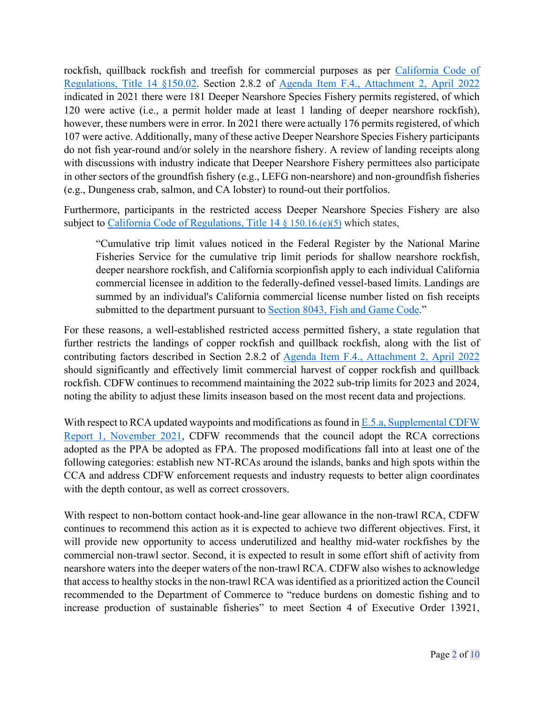rockfish, quillback rockfish and treefish for commercial purposes as per California Code of [Regulations, Title 14 §150.02.](https://govt.westlaw.com/calregs/Document/I19AE2952A8D9432DA7E6A165EBC0FA7A?viewType=FullText&originationContext=documenttoc&transitionType=CategoryPageItem&contextData=(sc.Default)) Section 2.8.2 of [Agenda Item F.4., Attachment 2, April 2022](https://www.pcouncil.org/documents/2022/03/f-4-attachment-2-2023-2024-management-measure-analytical-document-electronic-only.pdf/) indicated in 2021 there were 181 Deeper Nearshore Species Fishery permits registered, of which 120 were active (i.e., a permit holder made at least 1 landing of deeper nearshore rockfish), however, these numbers were in error. In 2021 there were actually 176 permits registered, of which 107 were active. Additionally, many of these active Deeper Nearshore Species Fishery participants do not fish year-round and/or solely in the nearshore fishery. A review of landing receipts along with discussions with industry indicate that Deeper Nearshore Fishery permittees also participate in other sectors of the groundfish fishery (e.g., LEFG non-nearshore) and non-groundfish fisheries (e.g., Dungeness crab, salmon, and CA lobster) to round-out their portfolios.

Furthermore, participants in the restricted access Deeper Nearshore Species Fishery are also subject to [California Code of Regulations, Title 14](https://govt.westlaw.com/calregs/Document/IF08D42DAB22142CB8D77230BED406335?viewType=FullText&originationContext=documenttoc&transitionType=CategoryPageItem&contextData=(sc.Default)) [§ 150.16.\(e\)\(5\)](https://govt.westlaw.com/calregs/Document/IF08D42DAB22142CB8D77230BED406335?viewType=FullText&originationContext=documenttoc&transitionType=CategoryPageItem&contextData=(sc.Default)) which states,

"Cumulative trip limit values noticed in the Federal Register by the National Marine Fisheries Service for the cumulative trip limit periods for shallow nearshore rockfish, deeper nearshore rockfish, and California scorpionfish apply to each individual California commercial licensee in addition to the federally-defined vessel-based limits. Landings are summed by an individual's California commercial license number listed on fish receipts submitted to the department pursuant to [Section 8043, Fish and Game Code.](https://leginfo.legislature.ca.gov/faces/codes_displaySection.xhtml?lawCode=FGC§ionNum=8043.)"

For these reasons, a well-established restricted access permitted fishery, a state regulation that further restricts the landings of copper rockfish and quillback rockfish, along with the list of contributing factors described in Section 2.8.2 of [Agenda Item F.4., Attachment 2, April 2022](https://www.pcouncil.org/documents/2022/03/f-4-attachment-2-2023-2024-management-measure-analytical-document-electronic-only.pdf/) should significantly and effectively limit commercial harvest of copper rockfish and quillback rockfish. CDFW continues to recommend maintaining the 2022 sub-trip limits for 2023 and 2024, noting the ability to adjust these limits inseason based on the most recent data and projections.

With respect to RCA updated waypoints and modifications as found in E.5.a, Supplemental CDFW [Report 1, November 2021,](https://www.pcouncil.org/documents/2021/11/e-5-a-supplemental-cdfw-report-1.pdf/) CDFW recommends that the council adopt the RCA corrections adopted as the PPA be adopted as FPA. The proposed modifications fall into at least one of the following categories: establish new NT-RCAs around the islands, banks and high spots within the CCA and address CDFW enforcement requests and industry requests to better align coordinates with the depth contour, as well as correct crossovers.

With respect to non-bottom contact hook-and-line gear allowance in the non-trawl RCA, CDFW continues to recommend this action as it is expected to achieve two different objectives. First, it will provide new opportunity to access underutilized and healthy mid-water rockfishes by the commercial non-trawl sector. Second, it is expected to result in some effort shift of activity from nearshore waters into the deeper waters of the non-trawl RCA. CDFW also wishes to acknowledge that access to healthy stocks in the non-trawl RCA was identified as a prioritized action the Council recommended to the Department of Commerce to "reduce burdens on domestic fishing and to increase production of sustainable fisheries" to meet Section 4 of Executive Order 13921,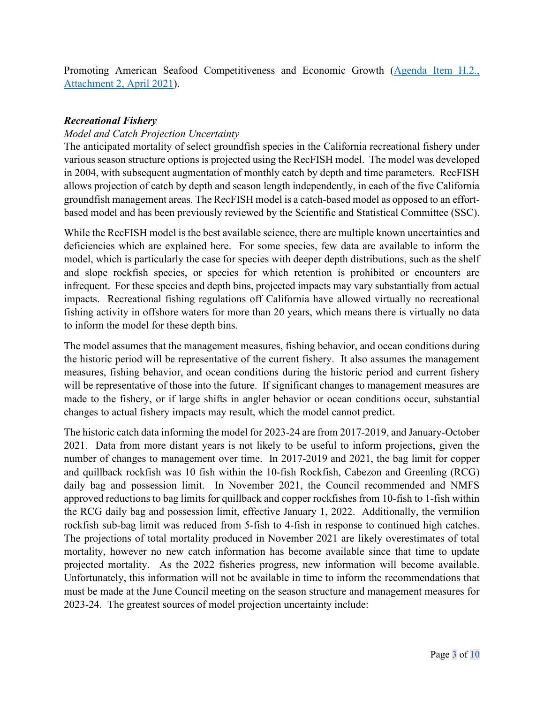Promoting American Seafood Competitiveness and Economic Growth (Agenda Item H.2., [Attachment 2, April 2021\)](https://www.pcouncil.org/documents/2021/03/h-2-attachment-2-letter-to-chris-oliver-with-councils-response-to-eo-13921.pdf/).

# *Recreational Fishery*

# *Model and Catch Projection Uncertainty*

The anticipated mortality of select groundfish species in the California recreational fishery under various season structure options is projected using the RecFISH model. The model was developed in 2004, with subsequent augmentation of monthly catch by depth and time parameters. RecFISH allows projection of catch by depth and season length independently, in each of the five California groundfish management areas. The RecFISH model is a catch-based model as opposed to an effortbased model and has been previously reviewed by the Scientific and Statistical Committee (SSC).

While the RecFISH model is the best available science, there are multiple known uncertainties and deficiencies which are explained here. For some species, few data are available to inform the model, which is particularly the case for species with deeper depth distributions, such as the shelf and slope rockfish species, or species for which retention is prohibited or encounters are infrequent. For these species and depth bins, projected impacts may vary substantially from actual impacts. Recreational fishing regulations off California have allowed virtually no recreational fishing activity in offshore waters for more than 20 years, which means there is virtually no data to inform the model for these depth bins.

The model assumes that the management measures, fishing behavior, and ocean conditions during the historic period will be representative of the current fishery. It also assumes the management measures, fishing behavior, and ocean conditions during the historic period and current fishery will be representative of those into the future. If significant changes to management measures are made to the fishery, or if large shifts in angler behavior or ocean conditions occur, substantial changes to actual fishery impacts may result, which the model cannot predict.

The historic catch data informing the model for 2023-24 are from 2017-2019, and January-October 2021. Data from more distant years is not likely to be useful to inform projections, given the number of changes to management over time. In 2017-2019 and 2021, the bag limit for copper and quillback rockfish was 10 fish within the 10-fish Rockfish, Cabezon and Greenling (RCG) daily bag and possession limit. In November 2021, the Council recommended and NMFS approved reductions to bag limits for quillback and copper rockfishes from 10-fish to 1-fish within the RCG daily bag and possession limit, effective January 1, 2022. Additionally, the vermilion rockfish sub-bag limit was reduced from 5-fish to 4-fish in response to continued high catches. The projections of total mortality produced in November 2021 are likely overestimates of total mortality, however no new catch information has become available since that time to update projected mortality. As the 2022 fisheries progress, new information will become available. Unfortunately, this information will not be available in time to inform the recommendations that must be made at the June Council meeting on the season structure and management measures for 2023-24. The greatest sources of model projection uncertainty include: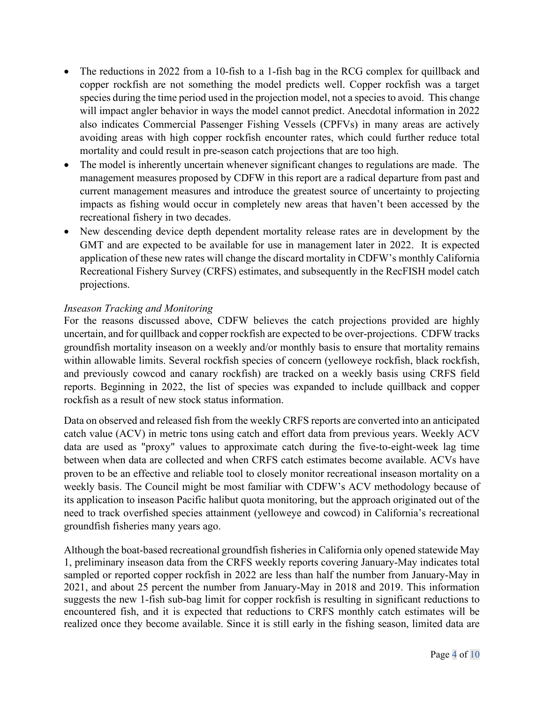- The reductions in 2022 from a 10-fish to a 1-fish bag in the RCG complex for quillback and copper rockfish are not something the model predicts well. Copper rockfish was a target species during the time period used in the projection model, not a species to avoid. This change will impact angler behavior in ways the model cannot predict. Anecdotal information in 2022 also indicates Commercial Passenger Fishing Vessels (CPFVs) in many areas are actively avoiding areas with high copper rockfish encounter rates, which could further reduce total mortality and could result in pre-season catch projections that are too high.
- The model is inherently uncertain whenever significant changes to regulations are made. The management measures proposed by CDFW in this report are a radical departure from past and current management measures and introduce the greatest source of uncertainty to projecting impacts as fishing would occur in completely new areas that haven't been accessed by the recreational fishery in two decades.
- New descending device depth dependent mortality release rates are in development by the GMT and are expected to be available for use in management later in 2022. It is expected application of these new rates will change the discard mortality in CDFW's monthly California Recreational Fishery Survey (CRFS) estimates, and subsequently in the RecFISH model catch projections.

### *Inseason Tracking and Monitoring*

For the reasons discussed above, CDFW believes the catch projections provided are highly uncertain, and for quillback and copper rockfish are expected to be over-projections. CDFW tracks groundfish mortality inseason on a weekly and/or monthly basis to ensure that mortality remains within allowable limits. Several rockfish species of concern (yelloweye rockfish, black rockfish, and previously cowcod and canary rockfish) are tracked on a weekly basis using CRFS field reports. Beginning in 2022, the list of species was expanded to include quillback and copper rockfish as a result of new stock status information.

Data on observed and released fish from the weekly CRFS reports are converted into an anticipated catch value (ACV) in metric tons using catch and effort data from previous years. Weekly ACV data are used as "proxy" values to approximate catch during the five-to-eight-week lag time between when data are collected and when CRFS catch estimates become available. ACVs have proven to be an effective and reliable tool to closely monitor recreational inseason mortality on a weekly basis. The Council might be most familiar with CDFW's ACV methodology because of its application to inseason Pacific halibut quota monitoring, but the approach originated out of the need to track overfished species attainment (yelloweye and cowcod) in California's recreational groundfish fisheries many years ago.

Although the boat-based recreational groundfish fisheries in California only opened statewide May 1, preliminary inseason data from the CRFS weekly reports covering January-May indicates total sampled or reported copper rockfish in 2022 are less than half the number from January-May in 2021, and about 25 percent the number from January-May in 2018 and 2019. This information suggests the new 1-fish sub-bag limit for copper rockfish is resulting in significant reductions to encountered fish, and it is expected that reductions to CRFS monthly catch estimates will be realized once they become available. Since it is still early in the fishing season, limited data are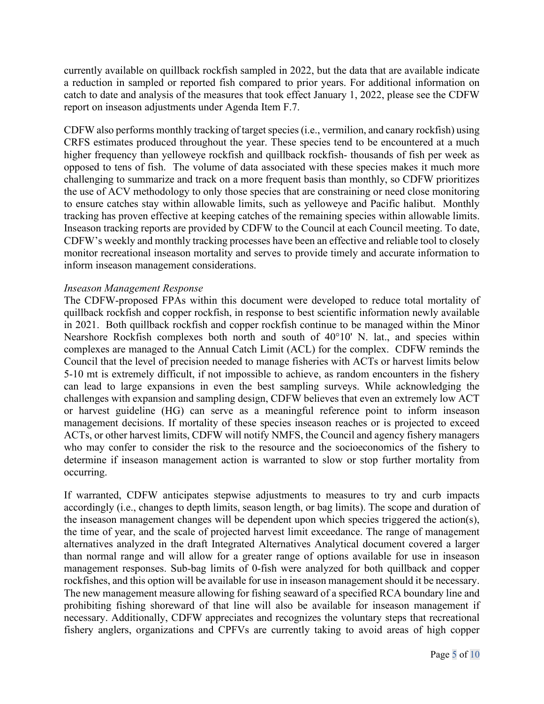currently available on quillback rockfish sampled in 2022, but the data that are available indicate a reduction in sampled or reported fish compared to prior years. For additional information on catch to date and analysis of the measures that took effect January 1, 2022, please see the CDFW report on inseason adjustments under Agenda Item F.7.

CDFW also performs monthly tracking of target species (i.e., vermilion, and canary rockfish) using CRFS estimates produced throughout the year. These species tend to be encountered at a much higher frequency than yelloweye rockfish and quillback rockfish- thousands of fish per week as opposed to tens of fish. The volume of data associated with these species makes it much more challenging to summarize and track on a more frequent basis than monthly, so CDFW prioritizes the use of ACV methodology to only those species that are constraining or need close monitoring to ensure catches stay within allowable limits, such as yelloweye and Pacific halibut. Monthly tracking has proven effective at keeping catches of the remaining species within allowable limits. Inseason tracking reports are provided by CDFW to the Council at each Council meeting. To date, CDFW's weekly and monthly tracking processes have been an effective and reliable tool to closely monitor recreational inseason mortality and serves to provide timely and accurate information to inform inseason management considerations.

#### *Inseason Management Response*

The CDFW-proposed FPAs within this document were developed to reduce total mortality of quillback rockfish and copper rockfish, in response to best scientific information newly available in 2021. Both quillback rockfish and copper rockfish continue to be managed within the Minor Nearshore Rockfish complexes both north and south of 40°10' N. lat., and species within complexes are managed to the Annual Catch Limit (ACL) for the complex. CDFW reminds the Council that the level of precision needed to manage fisheries with ACTs or harvest limits below 5-10 mt is extremely difficult, if not impossible to achieve, as random encounters in the fishery can lead to large expansions in even the best sampling surveys. While acknowledging the challenges with expansion and sampling design, CDFW believes that even an extremely low ACT or harvest guideline (HG) can serve as a meaningful reference point to inform inseason management decisions. If mortality of these species inseason reaches or is projected to exceed ACTs, or other harvest limits, CDFW will notify NMFS, the Council and agency fishery managers who may confer to consider the risk to the resource and the socioeconomics of the fishery to determine if inseason management action is warranted to slow or stop further mortality from occurring.

If warranted, CDFW anticipates stepwise adjustments to measures to try and curb impacts accordingly (i.e., changes to depth limits, season length, or bag limits). The scope and duration of the inseason management changes will be dependent upon which species triggered the action(s), the time of year, and the scale of projected harvest limit exceedance. The range of management alternatives analyzed in the draft Integrated Alternatives Analytical document covered a larger than normal range and will allow for a greater range of options available for use in inseason management responses. Sub-bag limits of 0-fish were analyzed for both quillback and copper rockfishes, and this option will be available for use in inseason management should it be necessary. The new management measure allowing for fishing seaward of a specified RCA boundary line and prohibiting fishing shoreward of that line will also be available for inseason management if necessary. Additionally, CDFW appreciates and recognizes the voluntary steps that recreational fishery anglers, organizations and CPFVs are currently taking to avoid areas of high copper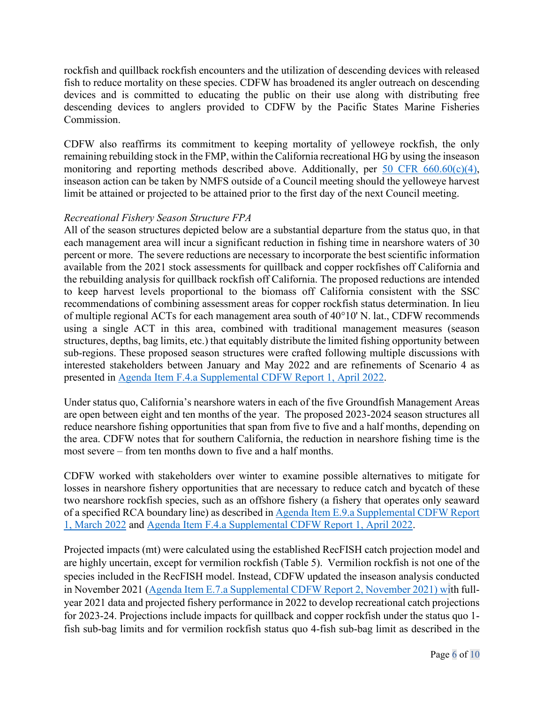rockfish and quillback rockfish encounters and the utilization of descending devices with released fish to reduce mortality on these species. CDFW has broadened its angler outreach on descending devices and is committed to educating the public on their use along with distributing free descending devices to anglers provided to CDFW by the Pacific States Marine Fisheries Commission.

CDFW also reaffirms its commitment to keeping mortality of yelloweye rockfish, the only remaining rebuilding stock in the FMP, within the California recreational HG by using the inseason monitoring and reporting methods described above. Additionally, per 50 CFR  $660.60(c)(4)$ , inseason action can be taken by NMFS outside of a Council meeting should the yelloweye harvest limit be attained or projected to be attained prior to the first day of the next Council meeting.

# *Recreational Fishery Season Structure FPA*

All of the season structures depicted below are a substantial departure from the status quo, in that each management area will incur a significant reduction in fishing time in nearshore waters of 30 percent or more. The severe reductions are necessary to incorporate the best scientific information available from the 2021 stock assessments for quillback and copper rockfishes off California and the rebuilding analysis for quillback rockfish off California. The proposed reductions are intended to keep harvest levels proportional to the biomass off California consistent with the SSC recommendations of combining assessment areas for copper rockfish status determination. In lieu of multiple regional ACTs for each management area south of 40°10' N. lat., CDFW recommends using a single ACT in this area, combined with traditional management measures (season structures, depths, bag limits, etc.) that equitably distribute the limited fishing opportunity between sub-regions. These proposed season structures were crafted following multiple discussions with interested stakeholders between January and May 2022 and are refinements of Scenario 4 as presented in [Agenda Item F.4.a Supplemental CDFW Report 1, April 2022.](https://www.pcouncil.org/documents/2022/04/f-4-a-supplemental-cdfw-report-1-4.pdf/)

Under status quo, California's nearshore waters in each of the five Groundfish Management Areas are open between eight and ten months of the year. The proposed 2023-2024 season structures all reduce nearshore fishing opportunities that span from five to five and a half months, depending on the area. CDFW notes that for southern California, the reduction in nearshore fishing time is the most severe – from ten months down to five and a half months.

CDFW worked with stakeholders over winter to examine possible alternatives to mitigate for losses in nearshore fishery opportunities that are necessary to reduce catch and bycatch of these two nearshore rockfish species, such as an offshore fishery (a fishery that operates only seaward of a specified RCA boundary line) as described in [Agenda Item E.9.a Supplemental CDFW Report](https://www.pcouncil.org/documents/2022/03/e-9-a-supplemental-cdfw-report-1.pdf/)  [1, March 2022](https://www.pcouncil.org/documents/2022/03/e-9-a-supplemental-cdfw-report-1.pdf/) and [Agenda Item F.4.a Supplemental CDFW Report 1, April 2022.](https://www.pcouncil.org/documents/2022/04/f-4-a-supplemental-cdfw-report-1-4.pdf/)

Projected impacts (mt) were calculated using the established RecFISH catch projection model and are highly uncertain, except for vermilion rockfish (Table 5). Vermilion rockfish is not one of the species included in the RecFISH model. Instead, CDFW updated the inseason analysis conducted in November 2021 [\(Agenda Item E.7.a Supplemental CDFW Report 2, November 2021\)](https://www.pcouncil.org/documents/2021/11/e-7-a-supplemental-cdfw-report-2.pdf/) with fullyear 2021 data and projected fishery performance in 2022 to develop recreational catch projections for 2023-24. Projections include impacts for quillback and copper rockfish under the status quo 1 fish sub-bag limits and for vermilion rockfish status quo 4-fish sub-bag limit as described in the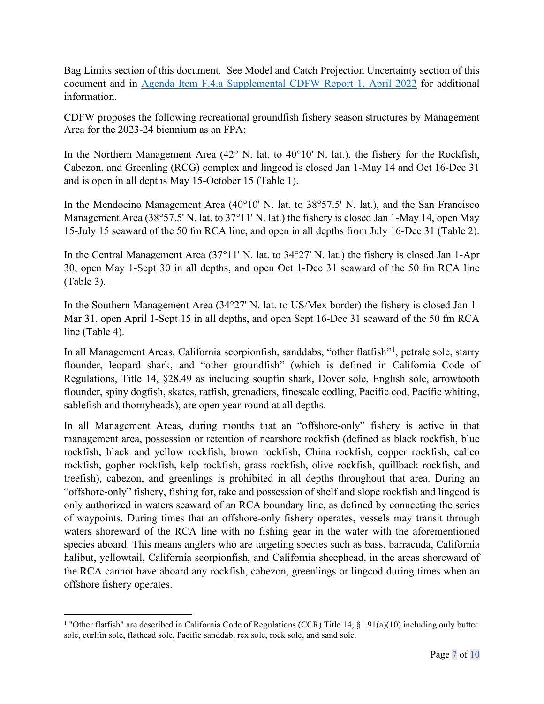Bag Limits section of this document. See Model and Catch Projection Uncertainty section of this document and in [Agenda Item F.4.a Supplemental CDFW Report 1, April 2022](https://www.pcouncil.org/documents/2022/04/f-4-a-supplemental-cdfw-report-1-4.pdf/) for additional information.

CDFW proposes the following recreational groundfish fishery season structures by Management Area for the 2023-24 biennium as an FPA:

In the Northern Management Area  $(42^{\circ}$  N. lat. to  $40^{\circ}10'$  N. lat.), the fishery for the Rockfish, Cabezon, and Greenling (RCG) complex and lingcod is closed Jan 1-May 14 and Oct 16-Dec 31 and is open in all depths May 15-October 15 (Table 1).

In the Mendocino Management Area (40°10' N. lat. to 38°57.5' N. lat.), and the San Francisco Management Area (38°57.5' N. lat. to 37°11' N. lat.) the fishery is closed Jan 1-May 14, open May 15-July 15 seaward of the 50 fm RCA line, and open in all depths from July 16-Dec 31 (Table 2).

In the Central Management Area (37°11' N. lat. to 34°27' N. lat.) the fishery is closed Jan 1-Apr 30, open May 1-Sept 30 in all depths, and open Oct 1-Dec 31 seaward of the 50 fm RCA line (Table 3).

In the Southern Management Area (34°27' N. lat. to US/Mex border) the fishery is closed Jan 1- Mar 31, open April 1-Sept 15 in all depths, and open Sept 16-Dec 31 seaward of the 50 fm RCA line (Table 4).

In all Management Areas, California scorpionfish, sanddabs, "other flatfish"<sup>[1](#page-6-0)</sup>, petrale sole, starry flounder, leopard shark, and "other groundfish" (which is defined in California Code of Regulations, Title 14, §28.49 as including soupfin shark, Dover sole, English sole, arrowtooth flounder, spiny dogfish, skates, ratfish, grenadiers, finescale codling, Pacific cod, Pacific whiting, sablefish and thornyheads), are open year-round at all depths.

In all Management Areas, during months that an "offshore-only" fishery is active in that management area, possession or retention of nearshore rockfish (defined as black rockfish, blue rockfish, black and yellow rockfish, brown rockfish, China rockfish, copper rockfish, calico rockfish, gopher rockfish, kelp rockfish, grass rockfish, olive rockfish, quillback rockfish, and treefish), cabezon, and greenlings is prohibited in all depths throughout that area. During an "offshore-only" fishery, fishing for, take and possession of shelf and slope rockfish and lingcod is only authorized in waters seaward of an RCA boundary line, as defined by connecting the series of waypoints. During times that an offshore-only fishery operates, vessels may transit through waters shoreward of the RCA line with no fishing gear in the water with the aforementioned species aboard. This means anglers who are targeting species such as bass, barracuda, California halibut, yellowtail, California scorpionfish, and California sheephead, in the areas shoreward of the RCA cannot have aboard any rockfish, cabezon, greenlings or lingcod during times when an offshore fishery operates.

<span id="page-6-0"></span><sup>&</sup>lt;sup>1</sup> "Other flatfish" are described in California Code of Regulations (CCR) Title 14, §1.91(a)(10) including only butter sole, curlfin sole, flathead sole, Pacific sanddab, rex sole, rock sole, and sand sole.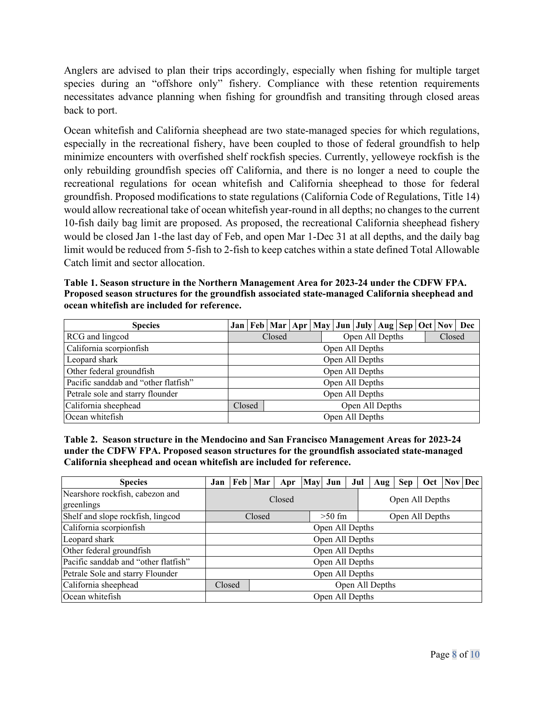Anglers are advised to plan their trips accordingly, especially when fishing for multiple target species during an "offshore only" fishery. Compliance with these retention requirements necessitates advance planning when fishing for groundfish and transiting through closed areas back to port.

Ocean whitefish and California sheephead are two state-managed species for which regulations, especially in the recreational fishery, have been coupled to those of federal groundfish to help minimize encounters with overfished shelf rockfish species. Currently, yelloweye rockfish is the only rebuilding groundfish species off California, and there is no longer a need to couple the recreational regulations for ocean whitefish and California sheephead to those for federal groundfish. Proposed modifications to state regulations (California Code of Regulations, Title 14) would allow recreational take of ocean whitefish year-round in all depths; no changes to the current 10-fish daily bag limit are proposed. As proposed, the recreational California sheephead fishery would be closed Jan 1-the last day of Feb, and open Mar 1-Dec 31 at all depths, and the daily bag limit would be reduced from 5-fish to 2-fish to keep catches within a state defined Total Allowable Catch limit and sector allocation.

**Table 1. Season structure in the Northern Management Area for 2023-24 under the CDFW FPA. Proposed season structures for the groundfish associated state-managed California sheephead and ocean whitefish are included for reference.**

| <b>Species</b>                       |                           |                           |  |  | Jan   Feb   Mar   Apr   May   Jun   July   Aug   Sep   Oct   Nov   Dec |  |  |  |        |  |  |  |
|--------------------------------------|---------------------------|---------------------------|--|--|------------------------------------------------------------------------|--|--|--|--------|--|--|--|
| RCG and lingcod                      |                           | Open All Depths<br>Closed |  |  |                                                                        |  |  |  | Closed |  |  |  |
| California scorpionfish              | Open All Depths           |                           |  |  |                                                                        |  |  |  |        |  |  |  |
| Leopard shark                        | Open All Depths           |                           |  |  |                                                                        |  |  |  |        |  |  |  |
| Other federal groundfish             | Open All Depths           |                           |  |  |                                                                        |  |  |  |        |  |  |  |
| Pacific sanddab and "other flatfish" | Open All Depths           |                           |  |  |                                                                        |  |  |  |        |  |  |  |
| Petrale sole and starry flounder     | Open All Depths           |                           |  |  |                                                                        |  |  |  |        |  |  |  |
| California sheephead                 | Closed<br>Open All Depths |                           |  |  |                                                                        |  |  |  |        |  |  |  |
| Ocean whitefish                      | Open All Depths           |                           |  |  |                                                                        |  |  |  |        |  |  |  |

**Table 2. Season structure in the Mendocino and San Francisco Management Areas for 2023-24 under the CDFW FPA. Proposed season structures for the groundfish associated state-managed California sheephead and ocean whitefish are included for reference.**

| <b>Species</b>                                | Jan                       |  | Feb   Mar | Apr |  | May Jun | Jul | Aug             | Sep | Oct   Nov   Dec |  |  |
|-----------------------------------------------|---------------------------|--|-----------|-----|--|---------|-----|-----------------|-----|-----------------|--|--|
| Nearshore rockfish, cabezon and<br>greenlings | Closed<br>Open All Depths |  |           |     |  |         |     |                 |     |                 |  |  |
| Shelf and slope rockfish, lingcod             | $>50$ fm<br>Closed        |  |           |     |  |         |     | Open All Depths |     |                 |  |  |
| California scorpionfish                       | Open All Depths           |  |           |     |  |         |     |                 |     |                 |  |  |
| Leopard shark                                 | Open All Depths           |  |           |     |  |         |     |                 |     |                 |  |  |
| Other federal groundfish                      | Open All Depths           |  |           |     |  |         |     |                 |     |                 |  |  |
| Pacific sanddab and "other flatfish"          | Open All Depths           |  |           |     |  |         |     |                 |     |                 |  |  |
| Petrale Sole and starry Flounder              | Open All Depths           |  |           |     |  |         |     |                 |     |                 |  |  |
| California sheephead                          | Open All Depths<br>Closed |  |           |     |  |         |     |                 |     |                 |  |  |
| Ocean whitefish                               | Open All Depths           |  |           |     |  |         |     |                 |     |                 |  |  |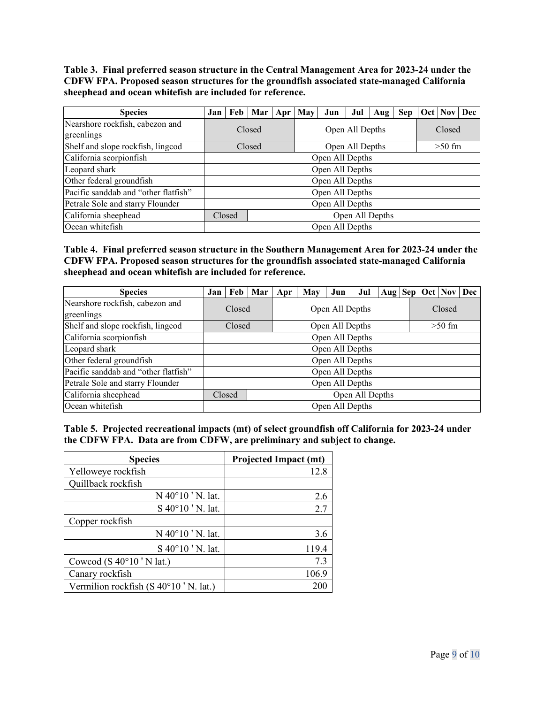**Table 3. Final preferred season structure in the Central Management Area for 2023-24 under the CDFW FPA. Proposed season structures for the groundfish associated state-managed California sheephead and ocean whitefish are included for reference.**

| <b>Species</b>                                | Jan                       |  | Feb   Mar   Apr   May |  |                 | Jun             | Jul      | Aug | <b>Sep</b> |  | Oct   Nov   Dec |  |  |  |
|-----------------------------------------------|---------------------------|--|-----------------------|--|-----------------|-----------------|----------|-----|------------|--|-----------------|--|--|--|
| Nearshore rockfish, cabezon and<br>greenlings | Closed                    |  |                       |  | Open All Depths |                 |          |     |            |  | Closed          |  |  |  |
| Shelf and slope rockfish, lingcod             |                           |  | Closed                |  |                 | Open All Depths | $>50$ fm |     |            |  |                 |  |  |  |
| California scorpionfish                       | Open All Depths           |  |                       |  |                 |                 |          |     |            |  |                 |  |  |  |
| Leopard shark                                 | Open All Depths           |  |                       |  |                 |                 |          |     |            |  |                 |  |  |  |
| Other federal groundfish                      | Open All Depths           |  |                       |  |                 |                 |          |     |            |  |                 |  |  |  |
| Pacific sanddab and "other flatfish"          | Open All Depths           |  |                       |  |                 |                 |          |     |            |  |                 |  |  |  |
| Petrale Sole and starry Flounder              | Open All Depths           |  |                       |  |                 |                 |          |     |            |  |                 |  |  |  |
| California sheephead                          | Open All Depths<br>Closed |  |                       |  |                 |                 |          |     |            |  |                 |  |  |  |
| Ocean whitefish                               | Open All Depths           |  |                       |  |                 |                 |          |     |            |  |                 |  |  |  |

**Table 4. Final preferred season structure in the Southern Management Area for 2023-24 under the CDFW FPA. Proposed season structures for the groundfish associated state-managed California sheephead and ocean whitefish are included for reference.**

| <b>Species</b>                                | Jan             |                           | Feb Mar | Apr | May             | Jun | Jul    |  |  |          | Aug   Sep   Oct   Nov   Dec |  |  |  |
|-----------------------------------------------|-----------------|---------------------------|---------|-----|-----------------|-----|--------|--|--|----------|-----------------------------|--|--|--|
| Nearshore rockfish, cabezon and<br>greenlings | Closed          |                           |         |     | Open All Depths |     | Closed |  |  |          |                             |  |  |  |
| Shelf and slope rockfish, lingcod             |                 | Open All Depths<br>Closed |         |     |                 |     |        |  |  | $>50$ fm |                             |  |  |  |
| California scorpionfish                       | Open All Depths |                           |         |     |                 |     |        |  |  |          |                             |  |  |  |
| Leopard shark                                 | Open All Depths |                           |         |     |                 |     |        |  |  |          |                             |  |  |  |
| Other federal groundfish                      | Open All Depths |                           |         |     |                 |     |        |  |  |          |                             |  |  |  |
| Pacific sanddab and "other flatfish"          | Open All Depths |                           |         |     |                 |     |        |  |  |          |                             |  |  |  |
| Petrale Sole and starry Flounder              | Open All Depths |                           |         |     |                 |     |        |  |  |          |                             |  |  |  |
| California sheephead                          |                 | Open All Depths<br>Closed |         |     |                 |     |        |  |  |          |                             |  |  |  |
| Ocean whitefish                               | Open All Depths |                           |         |     |                 |     |        |  |  |          |                             |  |  |  |

**Table 5. Projected recreational impacts (mt) of select groundfish off California for 2023-24 under the CDFW FPA. Data are from CDFW, are preliminary and subject to change.**

| <b>Species</b>                        | <b>Projected Impact (mt)</b> |
|---------------------------------------|------------------------------|
| Yelloweye rockfish                    | 12.8                         |
| Quillback rockfish                    |                              |
| N 40°10 'N. lat.                      | 2.6                          |
| S 40°10 'N. lat.                      | 2.7                          |
| Copper rockfish                       |                              |
| N 40°10 'N. lat.                      | 3.6                          |
| S 40°10 'N. lat.                      | 119.4                        |
| Cowcod (S $40^{\circ}10$ 'N lat.)     | 7.3                          |
| Canary rockfish                       | 106.9                        |
| Vermilion rockfish (S 40°10 'N. lat.) | 200                          |